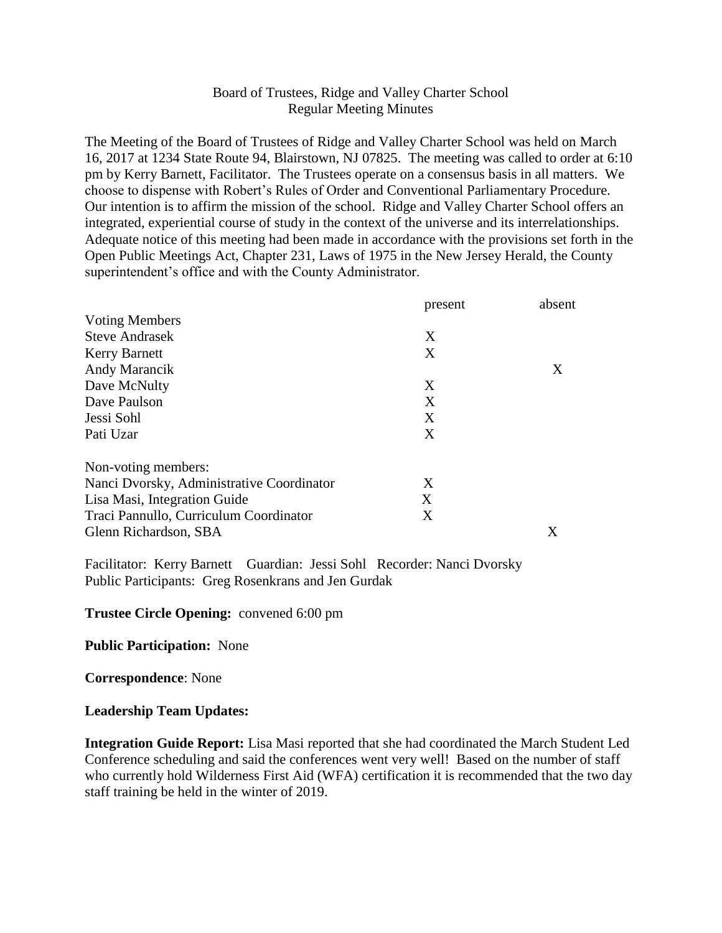## Board of Trustees, Ridge and Valley Charter School Regular Meeting Minutes

The Meeting of the Board of Trustees of Ridge and Valley Charter School was held on March 16, 2017 at 1234 State Route 94, Blairstown, NJ 07825. The meeting was called to order at 6:10 pm by Kerry Barnett, Facilitator. The Trustees operate on a consensus basis in all matters. We choose to dispense with Robert's Rules of Order and Conventional Parliamentary Procedure. Our intention is to affirm the mission of the school. Ridge and Valley Charter School offers an integrated, experiential course of study in the context of the universe and its interrelationships. Adequate notice of this meeting had been made in accordance with the provisions set forth in the Open Public Meetings Act, Chapter 231, Laws of 1975 in the New Jersey Herald, the County superintendent's office and with the County Administrator.

|                                           | present | absent |
|-------------------------------------------|---------|--------|
| <b>Voting Members</b>                     |         |        |
| <b>Steve Andrasek</b>                     | X       |        |
| <b>Kerry Barnett</b>                      | X       |        |
| Andy Marancik                             |         | X      |
| Dave McNulty                              | X       |        |
| Dave Paulson                              | X       |        |
| Jessi Sohl                                | X       |        |
| Pati Uzar                                 | X       |        |
| Non-voting members:                       |         |        |
| Nanci Dvorsky, Administrative Coordinator | X       |        |
| Lisa Masi, Integration Guide              | X       |        |
| Traci Pannullo, Curriculum Coordinator    | X       |        |
| Glenn Richardson, SBA                     |         | Χ      |

Facilitator: Kerry Barnett Guardian: Jessi Sohl Recorder: Nanci Dvorsky Public Participants: Greg Rosenkrans and Jen Gurdak

## **Trustee Circle Opening:** convened 6:00 pm

**Public Participation:** None

**Correspondence**: None

## **Leadership Team Updates:**

**Integration Guide Report:** Lisa Masi reported that she had coordinated the March Student Led Conference scheduling and said the conferences went very well! Based on the number of staff who currently hold Wilderness First Aid (WFA) certification it is recommended that the two day staff training be held in the winter of 2019.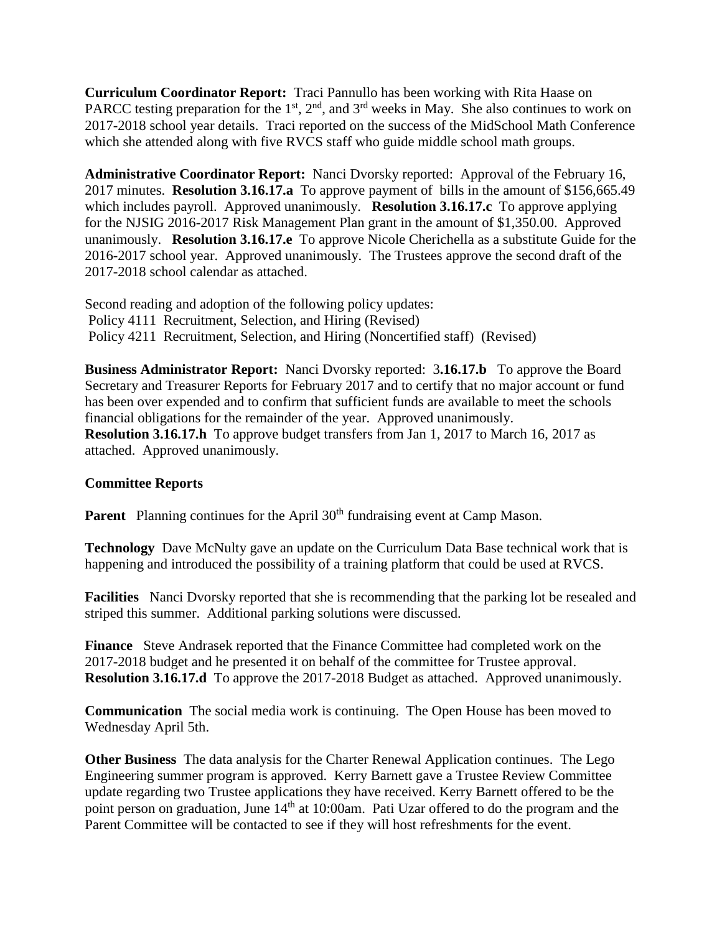**Curriculum Coordinator Report:** Traci Pannullo has been working with Rita Haase on PARCC testing preparation for the  $1<sup>st</sup>$ ,  $2<sup>nd</sup>$ , and  $3<sup>rd</sup>$  weeks in May. She also continues to work on 2017-2018 school year details. Traci reported on the success of the MidSchool Math Conference which she attended along with five RVCS staff who guide middle school math groups.

**Administrative Coordinator Report:** Nanci Dvorsky reported: Approval of the February 16, 2017 minutes. **Resolution 3.16.17.a** To approve payment of bills in the amount of \$156,665.49 which includes payroll. Approved unanimously. **Resolution 3.16.17.c** To approve applying for the NJSIG 2016-2017 Risk Management Plan grant in the amount of \$1,350.00. Approved unanimously. **Resolution 3.16.17.e** To approve Nicole Cherichella as a substitute Guide for the 2016-2017 school year. Approved unanimously. The Trustees approve the second draft of the 2017-2018 school calendar as attached.

Second reading and adoption of the following policy updates: Policy 4111 Recruitment, Selection, and Hiring (Revised) Policy 4211 Recruitment, Selection, and Hiring (Noncertified staff) (Revised)

**Business Administrator Report:** Nanci Dvorsky reported: 3**.16.17.b** To approve the Board Secretary and Treasurer Reports for February 2017 and to certify that no major account or fund has been over expended and to confirm that sufficient funds are available to meet the schools financial obligations for the remainder of the year. Approved unanimously. **Resolution 3.16.17.h** To approve budget transfers from Jan 1, 2017 to March 16, 2017 as attached. Approved unanimously.

## **Committee Reports**

**Parent** Planning continues for the April 30<sup>th</sup> fundraising event at Camp Mason.

**Technology** Dave McNulty gave an update on the Curriculum Data Base technical work that is happening and introduced the possibility of a training platform that could be used at RVCS.

**Facilities** Nanci Dvorsky reported that she is recommending that the parking lot be resealed and striped this summer. Additional parking solutions were discussed.

**Finance** Steve Andrasek reported that the Finance Committee had completed work on the 2017-2018 budget and he presented it on behalf of the committee for Trustee approval. **Resolution 3.16.17.d** To approve the 2017-2018 Budget as attached. Approved unanimously.

**Communication** The social media work is continuing. The Open House has been moved to Wednesday April 5th.

**Other Business** The data analysis for the Charter Renewal Application continues. The Lego Engineering summer program is approved. Kerry Barnett gave a Trustee Review Committee update regarding two Trustee applications they have received. Kerry Barnett offered to be the point person on graduation, June 14<sup>th</sup> at 10:00am. Pati Uzar offered to do the program and the Parent Committee will be contacted to see if they will host refreshments for the event.